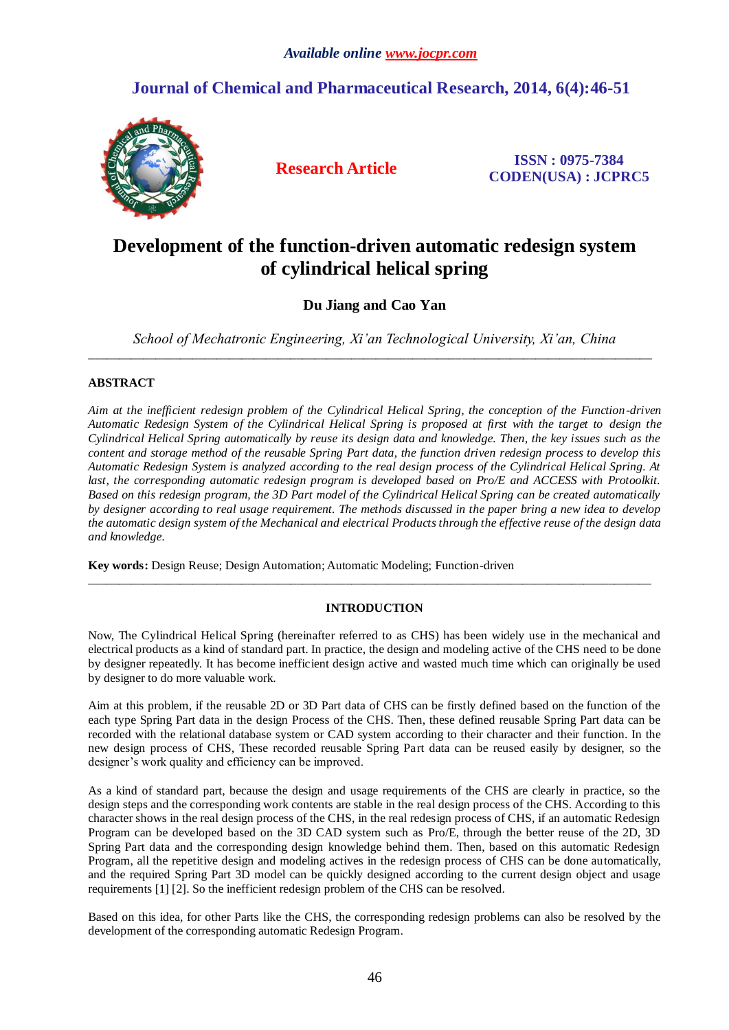# **Journal of Chemical and Pharmaceutical Research, 2014, 6(4):46-51**



**Research Article ISSN : 0975-7384 CODEN(USA) : JCPRC5**

# **Development of the function-driven automatic redesign system of cylindrical helical spring**

# **Du Jiang and Cao Yan**

*School of Mechatronic Engineering, Xi'an Technological University, Xi'an, China* \_\_\_\_\_\_\_\_\_\_\_\_\_\_\_\_\_\_\_\_\_\_\_\_\_\_\_\_\_\_\_\_\_\_\_\_\_\_\_\_\_\_\_\_\_\_\_\_\_\_\_\_\_\_\_\_\_\_\_\_\_\_\_\_\_\_\_\_\_\_\_\_\_\_\_\_\_\_\_\_\_\_\_\_\_\_\_\_\_\_\_\_

# **ABSTRACT**

*Aim at the inefficient redesign problem of the Cylindrical Helical Spring, the conception of the Function-driven Automatic Redesign System of the Cylindrical Helical Spring is proposed at first with the target to design the Cylindrical Helical Spring automatically by reuse its design data and knowledge. Then, the key issues such as the content and storage method of the reusable Spring Part data, the function driven redesign process to develop this Automatic Redesign System is analyzed according to the real design process of the Cylindrical Helical Spring. At*  last, the corresponding automatic redesign program is developed based on Pro/E and ACCESS with Protoolkit. *Based on this redesign program, the 3D Part model of the Cylindrical Helical Spring can be created automatically by designer according to real usage requirement. The methods discussed in the paper bring a new idea to develop the automatic design system of the Mechanical and electrical Products through the effective reuse of the design data and knowledge.*

**Key words:** Design Reuse; Design Automation; Automatic Modeling; Function-driven \_\_\_\_\_\_\_\_\_\_\_\_\_\_\_\_\_\_\_\_\_\_\_\_\_\_\_\_\_\_\_\_\_\_\_\_\_\_\_\_\_\_\_\_\_\_\_\_\_\_\_\_\_\_\_\_\_\_\_\_\_\_\_\_\_\_\_\_\_\_\_\_\_\_\_\_\_\_\_\_\_\_\_\_\_\_\_\_\_\_\_\_

# **INTRODUCTION**

Now, The Cylindrical Helical Spring (hereinafter referred to as CHS) has been widely use in the mechanical and electrical products as a kind of standard part. In practice, the design and modeling active of the CHS need to be done by designer repeatedly. It has become inefficient design active and wasted much time which can originally be used by designer to do more valuable work.

Aim at this problem, if the reusable 2D or 3D Part data of CHS can be firstly defined based on the function of the each type Spring Part data in the design Process of the CHS. Then, these defined reusable Spring Part data can be recorded with the relational database system or CAD system according to their character and their function. In the new design process of CHS, These recorded reusable Spring Part data can be reused easily by designer, so the designer's work quality and efficiency can be improved.

As a kind of standard part, because the design and usage requirements of the CHS are clearly in practice, so the design steps and the corresponding work contents are stable in the real design process of the CHS. According to this character shows in the real design process of the CHS, in the real redesign process of CHS, if an automatic Redesign Program can be developed based on the 3D CAD system such as Pro/E, through the better reuse of the 2D, 3D Spring Part data and the corresponding design knowledge behind them. Then, based on this automatic Redesign Program, all the repetitive design and modeling actives in the redesign process of CHS can be done automatically, and the required Spring Part 3D model can be quickly designed according to the current design object and usage requirements [1] [2]. So the inefficient redesign problem of the CHS can be resolved.

Based on this idea, for other Parts like the CHS, the corresponding redesign problems can also be resolved by the development of the corresponding automatic Redesign Program.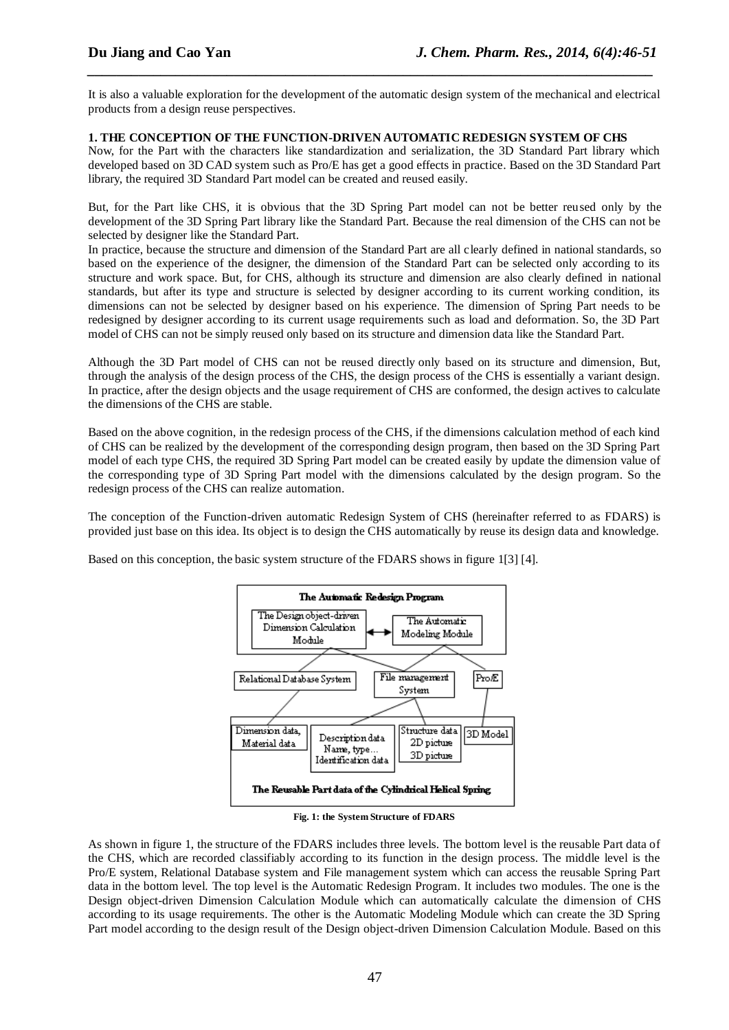It is also a valuable exploration for the development of the automatic design system of the mechanical and electrical products from a design reuse perspectives.

*\_\_\_\_\_\_\_\_\_\_\_\_\_\_\_\_\_\_\_\_\_\_\_\_\_\_\_\_\_\_\_\_\_\_\_\_\_\_\_\_\_\_\_\_\_\_\_\_\_\_\_\_\_\_\_\_\_\_\_\_\_\_\_\_\_\_\_\_\_\_\_\_\_\_\_\_\_*

### **1. THE CONCEPTION OF THE FUNCTION-DRIVEN AUTOMATIC REDESIGN SYSTEM OF CHS**

Now, for the Part with the characters like standardization and serialization, the 3D Standard Part library which developed based on 3D CAD system such as Pro/E has get a good effects in practice. Based on the 3D Standard Part library, the required 3D Standard Part model can be created and reused easily.

But, for the Part like CHS, it is obvious that the 3D Spring Part model can not be better reused only by the development of the 3D Spring Part library like the Standard Part. Because the real dimension of the CHS can not be selected by designer like the Standard Part.

In practice, because the structure and dimension of the Standard Part are all clearly defined in national standards, so based on the experience of the designer, the dimension of the Standard Part can be selected only according to its structure and work space. But, for CHS, although its structure and dimension are also clearly defined in national standards, but after its type and structure is selected by designer according to its current working condition, its dimensions can not be selected by designer based on his experience. The dimension of Spring Part needs to be redesigned by designer according to its current usage requirements such as load and deformation. So, the 3D Part model of CHS can not be simply reused only based on its structure and dimension data like the Standard Part.

Although the 3D Part model of CHS can not be reused [directly](http://www.iciba.com/directly) only based on its structure and dimension, But, through the analysis of the design process of the CHS, the design process of the CHS is essentially a variant design. In practice, after the design objects and the usage requirement of CHS are conformed, the design actives to calculate the dimensions of the CHS are stable.

Based on the above cognition, in the redesign process of the CHS, if the dimensions calculation method of each kind of CHS can be realized by the development of the corresponding design program, then based on the 3D Spring Part model of each type CHS, the required 3D Spring Part model can be created easily by update the dimension value of the corresponding type of 3D Spring Part model with the dimensions calculated by the design program. So the redesign process of the CHS can realize automation.

The conception of the Function-driven automatic Redesign System of CHS (hereinafter referred to as FDARS) is provided just base on this idea. Its object is to design the CHS automatically by reuse its design data and knowledge.

Based on this conception, the basic system structure of the FDARS shows in figure 1[3] [4].



**Fig. 1: the System Structure of FDARS**

As shown in figure 1, the structure of the FDARS includes three levels. The bottom level is the reusable Part data of the CHS, which are recorded classifiably according to its function in the design process. The middle level is the Pro/E system, Relational Database system and File management system which can access the reusable Spring Part data in the bottom level. The top level is the Automatic Redesign Program. It includes two modules. The one is the Design object-driven Dimension Calculation Module which can automatically calculate the dimension of CHS according to its usage requirements. The other is the Automatic Modeling Module which can create the 3D Spring Part model according to the design result of the Design object-driven Dimension Calculation Module. Based on this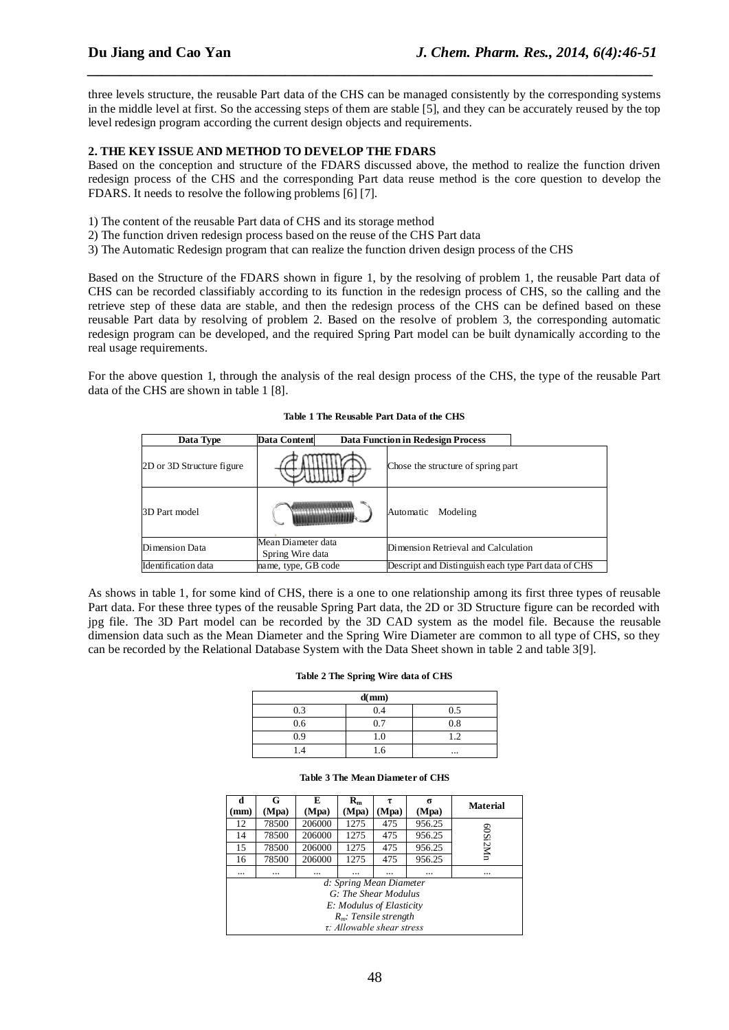three levels structure, the reusable Part data of the CHS can be managed consistently by the corresponding systems in the middle level at first. So the accessing steps of them are stable [5], and they can be accurately reused by the top level redesign program according the current design objects and requirements.

*\_\_\_\_\_\_\_\_\_\_\_\_\_\_\_\_\_\_\_\_\_\_\_\_\_\_\_\_\_\_\_\_\_\_\_\_\_\_\_\_\_\_\_\_\_\_\_\_\_\_\_\_\_\_\_\_\_\_\_\_\_\_\_\_\_\_\_\_\_\_\_\_\_\_\_\_\_*

# **2. THE KEY ISSUE AND METHOD TO DEVELOP THE FDARS**

Based on the conception and structure of the FDARS discussed above, the method to realize the function driven redesign process of the CHS and the corresponding Part data reuse method is the core question to develop the FDARS. It needs to resolve the following problems [6] [7].

- 1) The content of the reusable Part data of CHS and its storage method
- 2) The function driven redesign process based on the reuse of the CHS Part data
- 3) The Automatic Redesign program that can realize the function driven design process of the CHS

Based on the Structure of the FDARS shown in figure 1, by the resolving of problem 1, the reusable Part data of CHS can be recorded classifiably according to its function in the redesign process of CHS, so the calling and the retrieve step of these data are stable, and then the redesign process of the CHS can be defined based on these reusable Part data by resolving of problem 2. Based on the resolve of problem 3, the corresponding automatic redesign program can be developed, and the required Spring Part model can be built dynamically according to the real usage requirements.

For the above question 1, through the analysis of the real design process of the CHS, the type of the reusable Part data of the CHS are shown in table 1 [8].

| Data Type                 | <b>Data Content</b>                    | <b>Data Function in Redesign Process</b>            |
|---------------------------|----------------------------------------|-----------------------------------------------------|
| 2D or 3D Structure figure |                                        | Chose the structure of spring part                  |
| 3D Part model             |                                        | Modeling<br>Automatic                               |
| Dimension Data            | Mean Diameter data<br>Spring Wire data | Dimension Retrieval and Calculation                 |
| Identification data       | name, type, GB code                    | Descript and Distinguish each type Part data of CHS |

#### **Table 1 The Reusable Part Data of the CHS**

As shows in table 1, for some kind of CHS, there is a one to one relationship among its first three types of reusable Part data. For these three types of the reusable Spring Part data, the 2D or 3D Structure figure can be recorded with jpg file. The 3D Part model can be recorded by the 3D CAD system as the model file. Because the reusable dimension data such as the Mean Diameter and the Spring Wire Diameter are common to all type of CHS, so they can be recorded by the Relational Database System with the Data Sheet shown in table 2 and table 3[9].

#### **Table 2 The Spring Wire data of CHS**

| d(mm) |     |          |
|-------|-----|----------|
| 0.3   | 0.4 | 0.5      |
| 0.6   | 0.7 | $_{0.8}$ |
| 09    | 1.O |          |
|       | h   | $\cdots$ |

#### **Table 3 The Mean Diameter of CHS**

| d                        | G                               | E      | $R_{m}$ |       | σ      | <b>Material</b> |
|--------------------------|---------------------------------|--------|---------|-------|--------|-----------------|
| mm)                      | (Mpa)                           | (Mpa)  | (Mpa)   | (Mpa) | (Mpa)  |                 |
| 12                       | 78500                           | 206000 | 1275    | 475   | 956.25 |                 |
| 14                       | 78500                           | 206000 | 1275    | 475   | 956.25 |                 |
| 15                       | 78500                           | 206000 | 1275    | 475   | 956.25 | 60Si2Mn         |
| 16                       | 78500                           | 206000 | 1275    | 475   | 956.25 |                 |
|                          |                                 |        |         |       |        |                 |
|                          | d: Spring Mean Diameter         |        |         |       |        |                 |
|                          | G: The Shear Modulus            |        |         |       |        |                 |
| E: Modulus of Elasticity |                                 |        |         |       |        |                 |
| $R_m$ : Tensile strength |                                 |        |         |       |        |                 |
|                          | $\tau$ : Allowable shear stress |        |         |       |        |                 |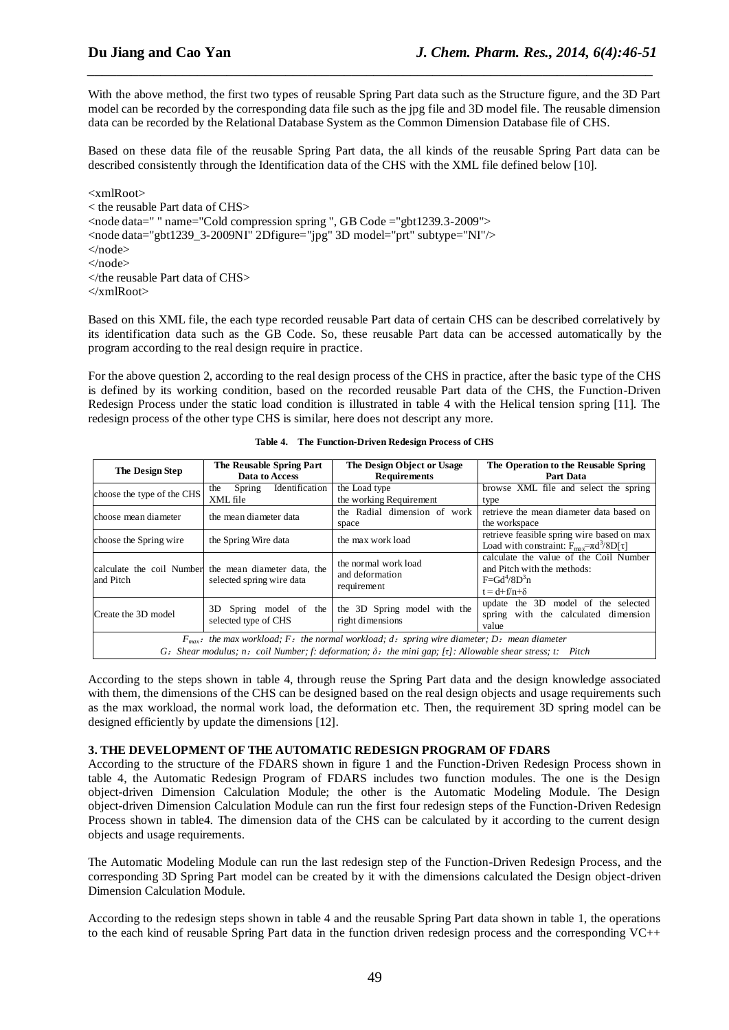With the above method, the first two types of reusable Spring Part data such as the Structure figure, and the 3D Part model can be recorded by the corresponding data file such as the jpg file and 3D model file. The reusable dimension data can be recorded by the Relational Database System as the Common Dimension Database file of CHS.

*\_\_\_\_\_\_\_\_\_\_\_\_\_\_\_\_\_\_\_\_\_\_\_\_\_\_\_\_\_\_\_\_\_\_\_\_\_\_\_\_\_\_\_\_\_\_\_\_\_\_\_\_\_\_\_\_\_\_\_\_\_\_\_\_\_\_\_\_\_\_\_\_\_\_\_\_\_*

Based on these data file of the reusable Spring Part data, the all kinds of the reusable Spring Part data can be described consistently through the Identification data of the CHS with the XML file defined below [10].

 $\langle xm|R$  oot $\rangle$ 

< the reusable Part data of CHS> <node data=" " name="Cold compression spring ", GB Code ="gbt1239.3-2009"> <node data="gbt1239\_3-2009NI" 2Dfigure="jpg" 3D model="prt" subtype="NI"/> </node> </node>  $\lt$ /the reusable Part data of CHS $>$  $\langle xm|$ Root $\rangle$ 

Based on this XML file, the each type recorded reusable Part data of certain CHS can be described correlatively by its identification data such as the GB Code. So, these reusable Part data can be accessed automatically by the program according to the real design require in practice.

For the above question 2, according to the real design process of the CHS in practice, after the basic type of the CHS is defined by its working condition, based on the recorded reusable Part data of the CHS, the Function-Driven Redesign Process under the static load condition is illustrated in table 4 with the Helical tension spring [11]. The redesign process of the other type CHS is similar, here does not descript any more.

| The Design Step                                                                                                                                                                                                               | The Reusable Spring Part<br>Data to Access                                         | The Design Object or Usage<br><b>Requirements</b>      | The Operation to the Reusable Spring<br>Part Data                                                                   |  |
|-------------------------------------------------------------------------------------------------------------------------------------------------------------------------------------------------------------------------------|------------------------------------------------------------------------------------|--------------------------------------------------------|---------------------------------------------------------------------------------------------------------------------|--|
| choose the type of the CHS                                                                                                                                                                                                    | Identification<br>Spring<br>the<br>XML file                                        | the Load type<br>the working Requirement               | browse XML file and select the spring<br>type                                                                       |  |
| choose mean diameter                                                                                                                                                                                                          | the mean diameter data                                                             | the Radial dimension of work<br>space                  | retrieve the mean diameter data based on<br>the workspace                                                           |  |
| choose the Spring wire                                                                                                                                                                                                        | the Spring Wire data                                                               | the max work load                                      | retrieve feasible spring wire based on max<br>Load with constraint: $F_{\text{max}} = \pi d^3/8D[\tau]$             |  |
| and Pitch                                                                                                                                                                                                                     | calculate the coil Number the mean diameter data, the<br>selected spring wire data | the normal work load<br>and deformation<br>requirement | calculate the value of the Coil Number<br>and Pitch with the methods:<br>$F = Gd^4/8D^3n$<br>$t = d + f/n + \delta$ |  |
| Spring model of the<br>3D.<br>Create the 3D model<br>selected type of CHS                                                                                                                                                     |                                                                                    | the 3D Spring model with the<br>right dimensions       | update the 3D model of the selected<br>spring with the calculated<br>dimension<br>value                             |  |
| $F_{max}$ : the max workload; F: the normal workload; d: spring wire diameter; D: mean diameter<br>$G$ : Shear modulus; n: coil Number; f: deformation; $\delta$ : the mini gap; [ $\tau$ ]: Allowable shear stress; t: Pitch |                                                                                    |                                                        |                                                                                                                     |  |

|  | Table 4. The Function-Driven Redesign Process of CHS |
|--|------------------------------------------------------|
|--|------------------------------------------------------|

According to the steps shown in table 4, through reuse the Spring Part data and the design knowledge associated with them, the dimensions of the CHS can be designed based on the real design objects and usage requirements such as the max workload, the normal work load, the deformation etc. Then, the requirement 3D spring model can be designed efficiently by update the dimensions [12].

## **3. THE DEVELOPMENT OF THE AUTOMATIC REDESIGN PROGRAM OF FDARS**

According to the structure of the FDARS shown in figure 1 and the Function-Driven Redesign Process shown in table 4, the Automatic Redesign Program of FDARS includes two function modules. The one is the Design object-driven Dimension Calculation Module; the other is the Automatic Modeling Module. The Design object-driven Dimension Calculation Module can run the first four redesign steps of the Function-Driven Redesign Process shown in table4. The dimension data of the CHS can be calculated by it according to the current design objects and usage requirements.

The Automatic Modeling Module can run the last redesign step of the Function-Driven Redesign Process, and the corresponding 3D Spring Part model can be created by it with the dimensions calculated the Design object-driven Dimension Calculation Module.

According to the redesign steps shown in table 4 and the reusable Spring Part data shown in table 1, the operations to the each kind of reusable Spring Part data in the function driven redesign process and the corresponding VC++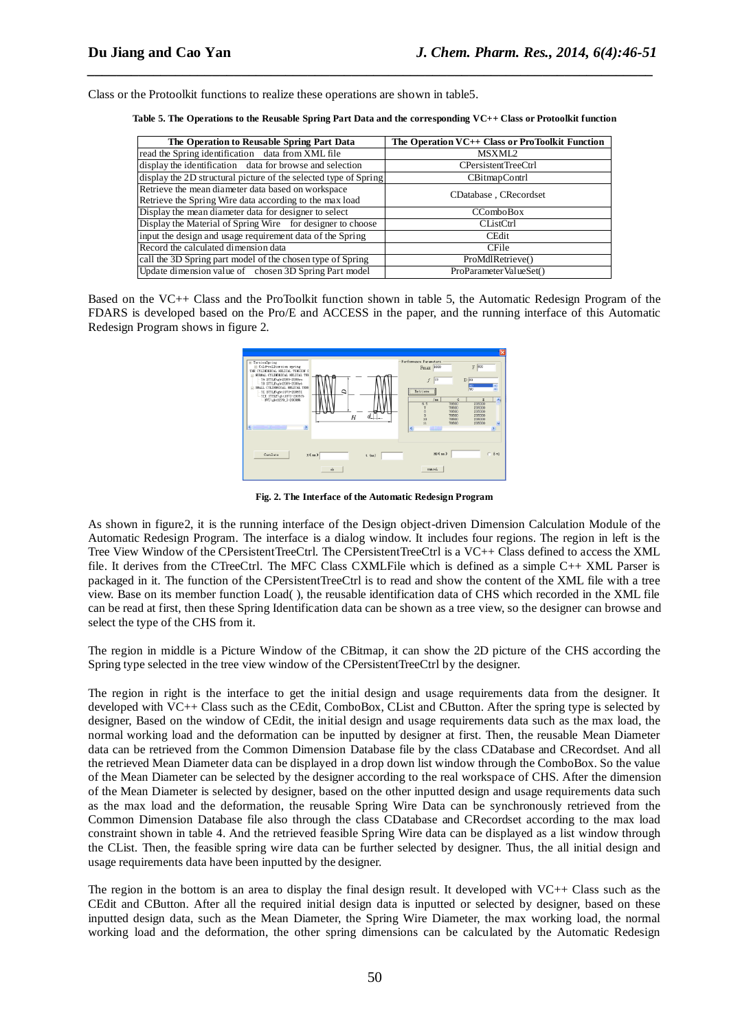Class or the Protoolkit functions to realize these operations are shown in table5.

| Table 5. The Operations to the Reusable Spring Part Data and the corresponding VC++ Class or Protoolkit function |  |  |
|------------------------------------------------------------------------------------------------------------------|--|--|
|                                                                                                                  |  |  |

*\_\_\_\_\_\_\_\_\_\_\_\_\_\_\_\_\_\_\_\_\_\_\_\_\_\_\_\_\_\_\_\_\_\_\_\_\_\_\_\_\_\_\_\_\_\_\_\_\_\_\_\_\_\_\_\_\_\_\_\_\_\_\_\_\_\_\_\_\_\_\_\_\_\_\_\_\_*

| The Operation to Reusable Spring Part Data                                                                    | The Operation VC++ Class or ProToolkit Function |  |
|---------------------------------------------------------------------------------------------------------------|-------------------------------------------------|--|
| read the Spring identification data from XML file                                                             | MSXML2                                          |  |
| display the identification data for browse and selection                                                      | CPersistentTreeCtrl                             |  |
| display the 2D structural picture of the selected type of Spring                                              | CBitmapContrl                                   |  |
| Retrieve the mean diameter data based on workspace<br>Retrieve the Spring Wire data according to the max load | CDatabase, CRecordset                           |  |
| Display the mean diameter data for designer to select                                                         | <b>CComboBox</b>                                |  |
| Display the Material of Spring Wire for designer to choose                                                    | <b>CListCtrl</b>                                |  |
| input the design and usage requirement data of the Spring                                                     | <b>CEdit</b>                                    |  |
| Record the calculated dimension data                                                                          | <b>CFile</b>                                    |  |
| call the 3D Spring part model of the chosen type of Spring                                                    | ProMdlRetrieve()                                |  |
| Update dimension value of chosen 3D Spring Part model                                                         | ProParameterValueSet()                          |  |

Based on the VC++ Class and the ProToolkit function shown in table 5, the Automatic Redesign Program of the FDARS is developed based on the Pro/E and ACCESS in the paper, and the running interface of this Automatic Redesign Program shows in figure 2.



**Fig. 2. The Interface of the Automatic Redesign Program**

As shown in figure2, it is the running interface of the Design object-driven Dimension Calculation Module of the Automatic Redesign Program. The interface is a dialog window. It includes four regions. The region in left is the Tree View Window of the CPersistentTreeCtrl. The CPersistentTreeCtrl is a VC++ Class defined to access the XML file. It derives from the CTreeCtrl. The MFC Class CXMLFile which is defined as a simple C++ XML Parser is packaged in it. The function of the CPersistentTreeCtrl is to read and show the content of the XML file with a tree view. Base on its member function Load( ), the reusable identification data of CHS which recorded in the XML file can be read at first, then these Spring Identification data can be shown as a tree view, so the designer can browse and select the type of the CHS from it.

The region in middle is a Picture Window of the CBitmap, it can show the 2D picture of the CHS according the Spring type selected in the tree view window of the CPersistentTreeCtrl by the designer.

The region in right is the interface to get the initial design and usage requirements data from the designer. It developed with VC++ Class such as the CEdit, ComboBox, CList and CButton. After the spring type is selected by designer, Based on the window of CEdit, the initial design and usage requirements data such as the max load, the normal working load and the deformation can be inputted by designer at first. Then, the reusable Mean Diameter data can be retrieved from the Common Dimension Database file by the class CDatabase and CRecordset. And all the retrieved Mean Diameter data can be displayed in a drop down list window through the ComboBox. So the value of the Mean Diameter can be selected by the designer according to the real workspace of CHS. After the dimension of the Mean Diameter is selected by designer, based on the other inputted design and usage requirements data such as the max load and the deformation, the reusable Spring Wire Data can be synchronously retrieved from the Common Dimension Database file also through the class CDatabase and CRecordset according to the max load constraint shown in table 4. And the retrieved feasible Spring Wire data can be displayed as a list window through the CList. Then, the feasible spring wire data can be further selected by designer. Thus, the all initial design and usage requirements data have been inputted by the designer.

The region in the bottom is an area to display the final design result. It developed with VC++ Class such as the CEdit and CButton. After all the required initial design data is inputted or selected by designer, based on these inputted design data, such as the Mean Diameter, the Spring Wire Diameter, the max working load, the normal working load and the deformation, the other spring dimensions can be calculated by the Automatic Redesign